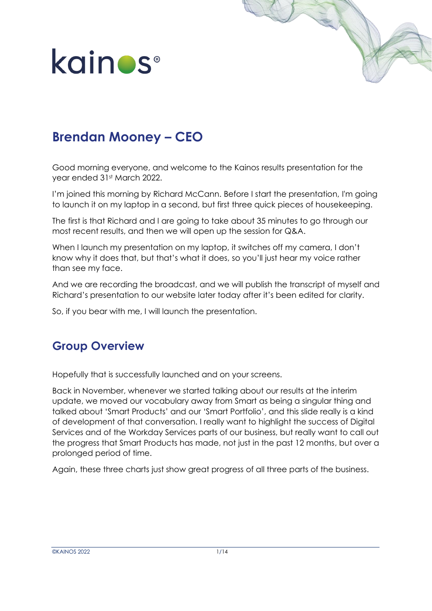



### **Brendan Mooney – CEO**

Good morning everyone, and welcome to the Kainos results presentation for the year ended 31st March 2022.

I'm joined this morning by Richard McCann. Before I start the presentation, I'm going to launch it on my laptop in a second, but first three quick pieces of housekeeping.

The first is that Richard and I are going to take about 35 minutes to go through our most recent results, and then we will open up the session for Q&A.

When I launch my presentation on my laptop, it switches off my camera, I don't know why it does that, but that's what it does, so you'll just hear my voice rather than see my face.

And we are recording the broadcast, and we will publish the transcript of myself and Richard's presentation to our website later today after it's been edited for clarity.

So, if you bear with me, I will launch the presentation.

### **Group Overview**

Hopefully that is successfully launched and on your screens.

Back in November, whenever we started talking about our results at the interim update, we moved our vocabulary away from Smart as being a singular thing and talked about 'Smart Products' and our 'Smart Portfolio', and this slide really is a kind of development of that conversation. I really want to highlight the success of Digital Services and of the Workday Services parts of our business, but really want to call out the progress that Smart Products has made, not just in the past 12 months, but over a prolonged period of time.

Again, these three charts just show great progress of all three parts of the business.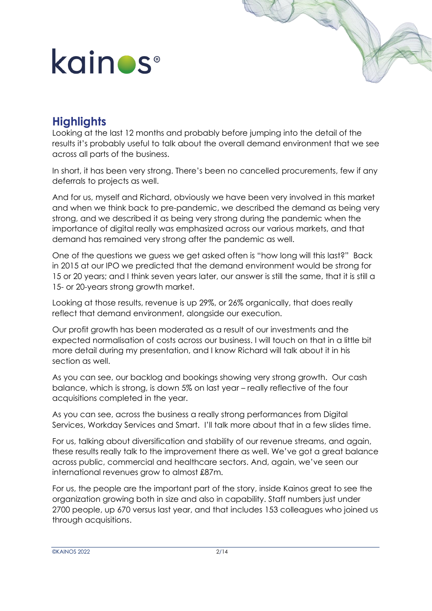### **Highlights**

Looking at the last 12 months and probably before jumping into the detail of the results it's probably useful to talk about the overall demand environment that we see across all parts of the business.

In short, it has been very strong. There's been no cancelled procurements, few if any deferrals to projects as well.

And for us, myself and Richard, obviously we have been very involved in this market and when we think back to pre-pandemic, we described the demand as being very strong, and we described it as being very strong during the pandemic when the importance of digital really was emphasized across our various markets, and that demand has remained very strong after the pandemic as well.

One of the questions we guess we get asked often is "how long will this last?" Back in 2015 at our IPO we predicted that the demand environment would be strong for 15 or 20 years; and I think seven years later, our answer is still the same, that it is still a 15- or 20-years strong growth market.

Looking at those results, revenue is up 29%, or 26% organically, that does really reflect that demand environment, alongside our execution.

Our profit growth has been moderated as a result of our investments and the expected normalisation of costs across our business. I will touch on that in a little bit more detail during my presentation, and I know Richard will talk about it in his section as well.

As you can see, our backlog and bookings showing very strong growth. Our cash balance, which is strong, is down 5% on last year – really reflective of the four acquisitions completed in the year.

As you can see, across the business a really strong performances from Digital Services, Workday Services and Smart. I'll talk more about that in a few slides time.

For us, talking about diversification and stability of our revenue streams, and again, these results really talk to the improvement there as well. We've got a great balance across public, commercial and healthcare sectors. And, again, we've seen our international revenues grow to almost £87m.

For us, the people are the important part of the story, inside Kainos great to see the organization growing both in size and also in capability. Staff numbers just under 2700 people, up 670 versus last year, and that includes 153 colleagues who joined us through acquisitions.

©KAINOS 2022 2/14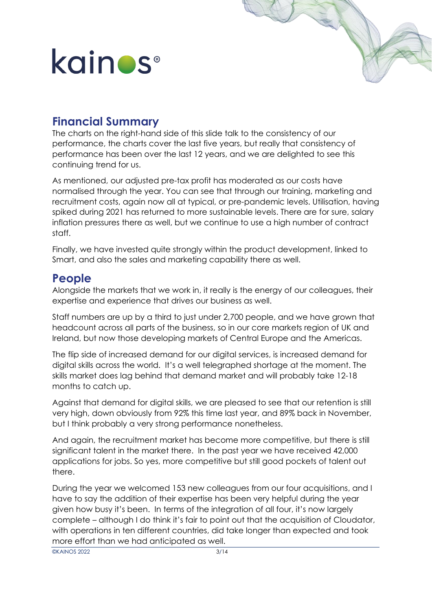### **Financial Summary**

The charts on the right-hand side of this slide talk to the consistency of our performance, the charts cover the last five years, but really that consistency of performance has been over the last 12 years, and we are delighted to see this continuing trend for us.

As mentioned, our adjusted pre-tax profit has moderated as our costs have normalised through the year. You can see that through our training, marketing and recruitment costs, again now all at typical, or pre-pandemic levels. Utilisation, having spiked during 2021 has returned to more sustainable levels. There are for sure, salary inflation pressures there as well, but we continue to use a high number of contract staff.

Finally, we have invested quite strongly within the product development, linked to Smart, and also the sales and marketing capability there as well.

#### **People**

Alongside the markets that we work in, it really is the energy of our colleagues, their expertise and experience that drives our business as well.

Staff numbers are up by a third to just under 2,700 people, and we have grown that headcount across all parts of the business, so in our core markets region of UK and Ireland, but now those developing markets of Central Europe and the Americas.

The flip side of increased demand for our digital services, is increased demand for digital skills across the world. It's a well telegraphed shortage at the moment. The skills market does lag behind that demand market and will probably take 12-18 months to catch up.

Against that demand for digital skills, we are pleased to see that our retention is still very high, down obviously from 92% this time last year, and 89% back in November, but I think probably a very strong performance nonetheless.

And again, the recruitment market has become more competitive, but there is still significant talent in the market there. In the past year we have received 42,000 applications for jobs. So yes, more competitive but still good pockets of talent out there.

During the year we welcomed 153 new colleagues from our four acquisitions, and I have to say the addition of their expertise has been very helpful during the year given how busy it's been. In terms of the integration of all four, it's now largely complete – although I do think it's fair to point out that the acquisition of Cloudator, with operations in ten different countries, did take longer than expected and took more effort than we had anticipated as well.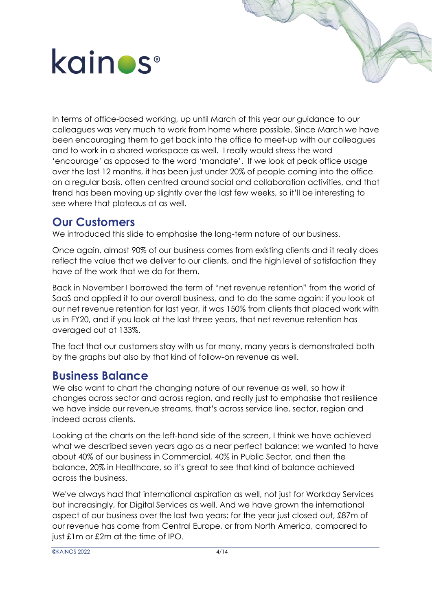In terms of office-based working, up until March of this year our guidance to our colleagues was very much to work from home where possible. Since March we have been encouraging them to get back into the office to meet-up with our colleagues and to work in a shared workspace as well. I really would stress the word 'encourage' as opposed to the word 'mandate'. If we look at peak office usage over the last 12 months, it has been just under 20% of people coming into the office on a regular basis, often centred around social and collaboration activities, and that trend has been moving up slightly over the last few weeks, so it'll be interesting to see where that plateaus at as well.

#### **Our Customers**

We introduced this slide to emphasise the long-term nature of our business.

Once again, almost 90% of our business comes from existing clients and it really does reflect the value that we deliver to our clients, and the high level of satisfaction they have of the work that we do for them.

Back in November I borrowed the term of "net revenue retention" from the world of SaaS and applied it to our overall business, and to do the same again: if you look at our net revenue retention for last year, it was 150% from clients that placed work with us in FY20, and if you look at the last three years, that net revenue retention has averaged out at 133%.

The fact that our customers stay with us for many, many years is demonstrated both by the graphs but also by that kind of follow-on revenue as well.

#### **Business Balance**

We also want to chart the changing nature of our revenue as well, so how it changes across sector and across region, and really just to emphasise that resilience we have inside our revenue streams, that's across service line, sector, region and indeed across clients.

Looking at the charts on the left-hand side of the screen, I think we have achieved what we described seven years ago as a near perfect balance: we wanted to have about 40% of our business in Commercial, 40% in Public Sector, and then the balance, 20% in Healthcare, so it's great to see that kind of balance achieved across the business.

We've always had that international aspiration as well, not just for Workday Services but increasingly, for Digital Services as well. And we have grown the international aspect of our business over the last two years: for the year just closed out, £87m of our revenue has come from Central Europe, or from North America, compared to just £1m or £2m at the time of IPO.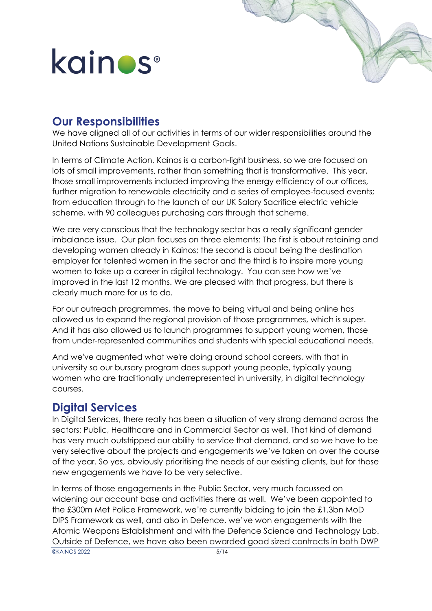### **Our Responsibilities**

We have aligned all of our activities in terms of our wider responsibilities around the United Nations Sustainable Development Goals.

In terms of Climate Action, Kainos is a carbon-light business, so we are focused on lots of small improvements, rather than something that is transformative. This year, those small improvements included improving the energy efficiency of our offices, further migration to renewable electricity and a series of employee-focused events; from education through to the launch of our UK Salary Sacrifice electric vehicle scheme, with 90 colleagues purchasing cars through that scheme.

We are very conscious that the technology sector has a really significant gender imbalance issue. Our plan focuses on three elements: The first is about retaining and developing women already in Kainos; the second is about being the destination employer for talented women in the sector and the third is to inspire more young women to take up a career in digital technology. You can see how we've improved in the last 12 months. We are pleased with that progress, but there is clearly much more for us to do.

For our outreach programmes, the move to being virtual and being online has allowed us to expand the regional provision of those programmes, which is super. And it has also allowed us to launch programmes to support young women, those from under-represented communities and students with special educational needs.

And we've augmented what we're doing around school careers, with that in university so our bursary program does support young people, typically young women who are traditionally underrepresented in university, in digital technology courses.

#### **Digital Services**

In Digital Services, there really has been a situation of very strong demand across the sectors: Public, Healthcare and in Commercial Sector as well. That kind of demand has very much outstripped our ability to service that demand, and so we have to be very selective about the projects and engagements we've taken on over the course of the year. So yes, obviously prioritising the needs of our existing clients, but for those new engagements we have to be very selective.

In terms of those engagements in the Public Sector, very much focussed on widening our account base and activities there as well. We've been appointed to the £300m Met Police Framework, we're currently bidding to join the £1.3bn MoD DIPS Framework as well, and also in Defence, we've won engagements with the Atomic Weapons Establishment and with the Defence Science and Technology Lab. Outside of Defence, we have also been awarded good sized contracts in both DWP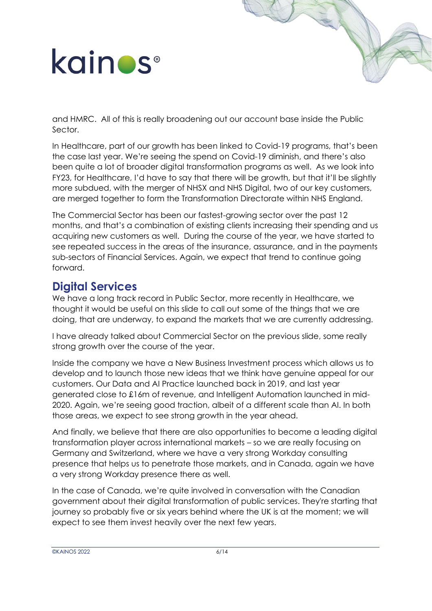and HMRC. All of this is really broadening out our account base inside the Public Sector.

In Healthcare, part of our growth has been linked to Covid-19 programs, that's been the case last year. We're seeing the spend on Covid-19 diminish, and there's also been quite a lot of broader digital transformation programs as well. As we look into FY23, for Healthcare, I'd have to say that there will be growth, but that it'll be slightly more subdued, with the merger of NHSX and NHS Digital, two of our key customers, are merged together to form the Transformation Directorate within NHS England.

The Commercial Sector has been our fastest-growing sector over the past 12 months, and that's a combination of existing clients increasing their spending and us acquiring new customers as well. During the course of the year, we have started to see repeated success in the areas of the insurance, assurance, and in the payments sub-sectors of Financial Services. Again, we expect that trend to continue going forward.

#### **Digital Services**

We have a long track record in Public Sector, more recently in Healthcare, we thought it would be useful on this slide to call out some of the things that we are doing, that are underway, to expand the markets that we are currently addressing.

I have already talked about Commercial Sector on the previous slide, some really strong growth over the course of the year.

Inside the company we have a New Business Investment process which allows us to develop and to launch those new ideas that we think have genuine appeal for our customers. Our Data and AI Practice launched back in 2019, and last year generated close to £16m of revenue, and Intelligent Automation launched in mid-2020. Again, we're seeing good traction, albeit of a different scale than AI. In both those areas, we expect to see strong growth in the year ahead.

And finally, we believe that there are also opportunities to become a leading digital transformation player across international markets – so we are really focusing on Germany and Switzerland, where we have a very strong Workday consulting presence that helps us to penetrate those markets, and in Canada, again we have a very strong Workday presence there as well.

In the case of Canada, we're quite involved in conversation with the Canadian government about their digital transformation of public services. They're starting that journey so probably five or six years behind where the UK is at the moment; we will expect to see them invest heavily over the next few years.

©KAINOS 2022 6/14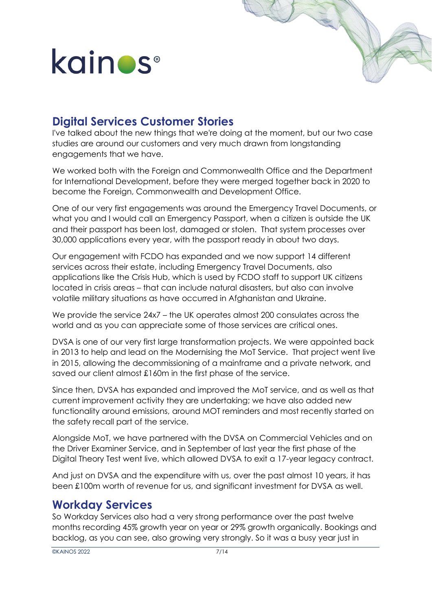### **Digital Services Customer Stories**

I've talked about the new things that we're doing at the moment, but our two case studies are around our customers and very much drawn from longstanding engagements that we have.

We worked both with the Foreign and Commonwealth Office and the Department for International Development, before they were merged together back in 2020 to become the Foreign, Commonwealth and Development Office.

One of our very first engagements was around the Emergency Travel Documents, or what you and I would call an Emergency Passport, when a citizen is outside the UK and their passport has been lost, damaged or stolen. That system processes over 30,000 applications every year, with the passport ready in about two days.

Our engagement with FCDO has expanded and we now support 14 different services across their estate, including Emergency Travel Documents, also applications like the Crisis Hub, which is used by FCDO staff to support UK citizens located in crisis areas – that can include natural disasters, but also can involve volatile military situations as have occurred in Afghanistan and Ukraine.

We provide the service 24x7 – the UK operates almost 200 consulates across the world and as you can appreciate some of those services are critical ones.

DVSA is one of our very first large transformation projects. We were appointed back in 2013 to help and lead on the Modernising the MoT Service. That project went live in 2015, allowing the decommissioning of a mainframe and a private network, and saved our client almost £160m in the first phase of the service.

Since then, DVSA has expanded and improved the MoT service, and as well as that current improvement activity they are undertaking; we have also added new functionality around emissions, around MOT reminders and most recently started on the safety recall part of the service.

Alongside MoT, we have partnered with the DVSA on Commercial Vehicles and on the Driver Examiner Service, and in September of last year the first phase of the Digital Theory Test went live, which allowed DVSA to exit a 17-year legacy contract.

And just on DVSA and the expenditure with us, over the past almost 10 years, it has been £100m worth of revenue for us, and significant investment for DVSA as well.

#### **Workday Services**

So Workday Services also had a very strong performance over the past twelve months recording 45% growth year on year or 29% growth organically. Bookings and backlog, as you can see, also growing very strongly. So it was a busy year just in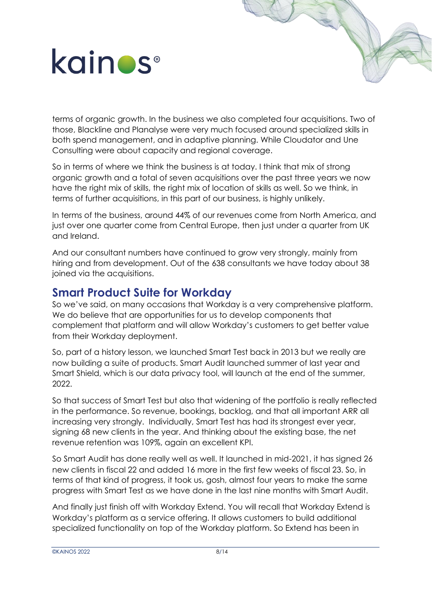terms of organic growth. In the business we also completed four acquisitions. Two of those, Blackline and Planalyse were very much focused around specialized skills in both spend management, and in adaptive planning. While Cloudator and Une Consulting were about capacity and regional coverage.

So in terms of where we think the business is at today. I think that mix of strong organic growth and a total of seven acquisitions over the past three years we now have the right mix of skills, the right mix of location of skills as well. So we think, in terms of further acquisitions, in this part of our business, is highly unlikely.

In terms of the business, around 44% of our revenues come from North America, and just over one quarter come from Central Europe, then just under a quarter from UK and Ireland.

And our consultant numbers have continued to grow very strongly, mainly from hiring and from development. Out of the 638 consultants we have today about 38 joined via the acquisitions.

#### **Smart Product Suite for Workday**

So we've said, on many occasions that Workday is a very comprehensive platform. We do believe that are opportunities for us to develop components that complement that platform and will allow Workday's customers to get better value from their Workday deployment.

So, part of a history lesson, we launched Smart Test back in 2013 but we really are now building a suite of products. Smart Audit launched summer of last year and Smart Shield, which is our data privacy tool, will launch at the end of the summer, 2022.

So that success of Smart Test but also that widening of the portfolio is really reflected in the performance. So revenue, bookings, backlog, and that all important ARR all increasing very strongly. Individually, Smart Test has had its strongest ever year, signing 68 new clients in the year. And thinking about the existing base, the net revenue retention was 109%, again an excellent KPI.

So Smart Audit has done really well as well. It launched in mid-2021, it has signed 26 new clients in fiscal 22 and added 16 more in the first few weeks of fiscal 23. So, in terms of that kind of progress, it took us, gosh, almost four years to make the same progress with Smart Test as we have done in the last nine months with Smart Audit.

And finally just finish off with Workday Extend. You will recall that Workday Extend is Workday's platform as a service offering. It allows customers to build additional specialized functionality on top of the Workday platform. So Extend has been in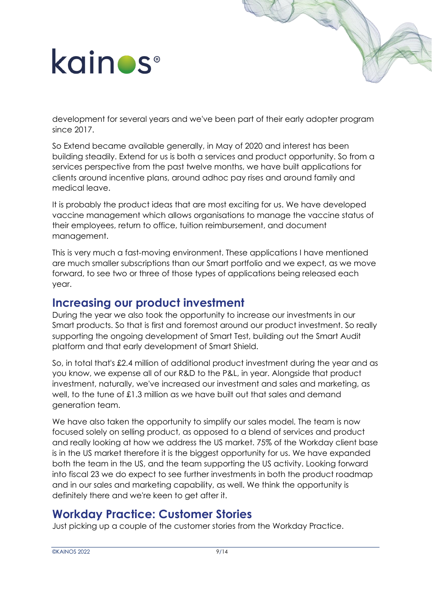development for several years and we've been part of their early adopter program since 2017.

So Extend became available generally, in May of 2020 and interest has been building steadily. Extend for us is both a services and product opportunity. So from a services perspective from the past twelve months, we have built applications for clients around incentive plans, around adhoc pay rises and around family and medical leave.

It is probably the product ideas that are most exciting for us. We have developed vaccine management which allows organisations to manage the vaccine status of their employees, return to office, tuition reimbursement, and document management.

This is very much a fast-moving environment. These applications I have mentioned are much smaller subscriptions than our Smart portfolio and we expect, as we move forward, to see two or three of those types of applications being released each year.

#### **Increasing our product investment**

During the year we also took the opportunity to increase our investments in our Smart products. So that is first and foremost around our product investment. So really supporting the ongoing development of Smart Test, building out the Smart Audit platform and that early development of Smart Shield.

So, in total that's £2.4 million of additional product investment during the year and as you know, we expense all of our R&D to the P&L, in year. Alongside that product investment, naturally, we've increased our investment and sales and marketing, as well, to the tune of £1.3 million as we have built out that sales and demand generation team.

We have also taken the opportunity to simplify our sales model. The team is now focused solely on selling product, as opposed to a blend of services and product and really looking at how we address the US market. 75% of the Workday client base is in the US market therefore it is the biggest opportunity for us. We have expanded both the team in the US, and the team supporting the US activity. Looking forward into fiscal 23 we do expect to see further investments in both the product roadmap and in our sales and marketing capability, as well. We think the opportunity is definitely there and we're keen to get after it.

#### **Workday Practice: Customer Stories**

Just picking up a couple of the customer stories from the Workday Practice.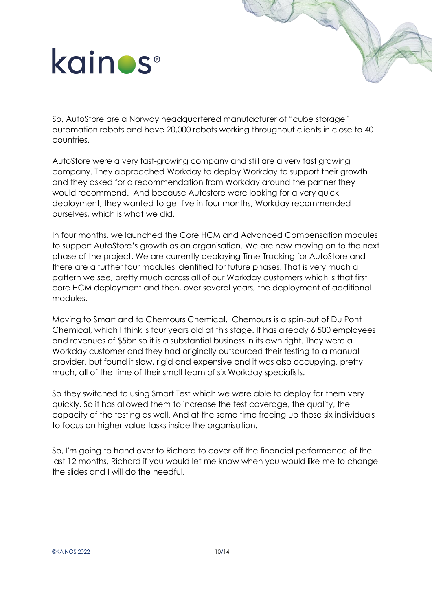So, AutoStore are a Norway headquartered manufacturer of "cube storage" automation robots and have 20,000 robots working throughout clients in close to 40 countries.

AutoStore were a very fast-growing company and still are a very fast growing company. They approached Workday to deploy Workday to support their growth and they asked for a recommendation from Workday around the partner they would recommend. And because Autostore were looking for a very quick deployment, they wanted to get live in four months, Workday recommended ourselves, which is what we did.

In four months, we launched the Core HCM and Advanced Compensation modules to support AutoStore's growth as an organisation. We are now moving on to the next phase of the project. We are currently deploying Time Tracking for AutoStore and there are a further four modules identified for future phases. That is very much a pattern we see, pretty much across all of our Workday customers which is that first core HCM deployment and then, over several years, the deployment of additional modules.

Moving to Smart and to Chemours Chemical. Chemours is a spin-out of Du Pont Chemical, which I think is four years old at this stage. It has already 6,500 employees and revenues of \$5bn so it is a substantial business in its own right. They were a Workday customer and they had originally outsourced their testing to a manual provider, but found it slow, rigid and expensive and it was also occupying, pretty much, all of the time of their small team of six Workday specialists.

So they switched to using Smart Test which we were able to deploy for them very quickly. So it has allowed them to increase the test coverage, the quality, the capacity of the testing as well. And at the same time freeing up those six individuals to focus on higher value tasks inside the organisation.

So, I'm going to hand over to Richard to cover off the financial performance of the last 12 months, Richard if you would let me know when you would like me to change the slides and I will do the needful.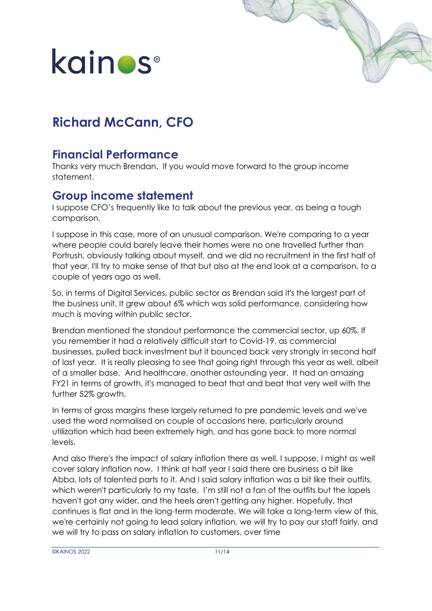

### **Richard McCann, CFO**

### **Financial Performance**

Thanks very much Brendan. If you would move forward to the group income statement.

### **Group income statement**

I suppose CFO's frequently like to talk about the previous year, as being a tough comparison.

I suppose in this case, more of an unusual comparison. We're comparing to a year where people could barely leave their homes were no one travelled further than Portrush, obviously talking about myself, and we did no recruitment in the first half of that year. I'll try to make sense of that but also at the end look at a comparison, to a couple of years ago as well.

So, in terms of Digital Services, public sector as Brendan said it's the largest part of the business unit. It grew about 6% which was solid performance, considering how much is moving within public sector.

Brendan mentioned the standout performance the commercial sector, up 60%. If you remember it had a relatively difficult start to Covid-19, as commercial businesses, pulled back investment but it bounced back very strongly in second half of last year. It is really pleasing to see that going right through this year as well, albeit of a smaller base. And healthcare, another astounding year. It had an amazing FY21 in terms of growth, it's managed to beat that and beat that very well with the further 52% growth.

In terms of gross margins these largely returned to pre pandemic levels and we've used the word normalised on couple of occasions here, particularly around utilization which had been extremely high, and has gone back to more normal levels.

And also there's the impact of salary inflation there as well. I suppose, I might as well cover salary inflation now. I think at half year I said there are business a bit like Abba, lots of talented parts to it. And I said salary inflation was a bit like their outfits, which weren't particularly to my taste. I'm still not a fan of the outfits but the lapels haven't got any wider, and the heels aren't getting any higher. Hopefully, that continues is flat and in the long-term moderate. We will take a long-term view of this, we're certainly not going to lead salary inflation, we will try to pay our staff fairly, and we will try to pass on salary inflation to customers, over time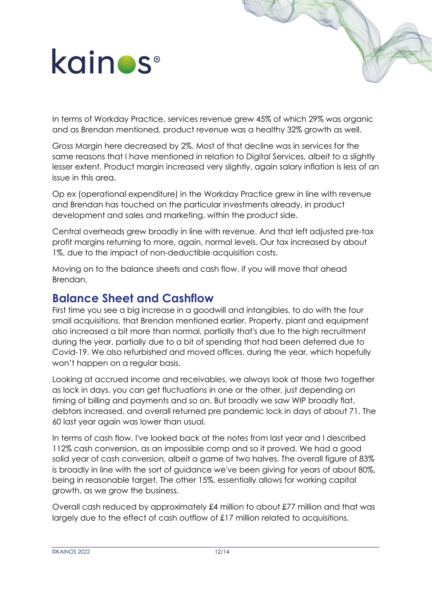In terms of Workday Practice, services revenue grew 45% of which 29% was organic and as Brendan mentioned, product revenue was a healthy 32% growth as well.

Gross Margin here decreased by 2%. Most of that decline was in services for the same reasons that I have mentioned in relation to Digital Services, albeit to a slightly lesser extent. Product margin increased very slightly, again salary inflation is less of an issue in this area.

Op ex (operational expenditure) in the Workday Practice grew in line with revenue and Brendan has touched on the particular investments already, in product development and sales and marketing, within the product side.

Central overheads grew broadly in line with revenue. And that left adjusted pre-tax profit margins returning to more, again, normal levels. Our tax increased by about 1%, due to the impact of non-deductible acquisition costs.

Moving on to the balance sheets and cash flow, if you will move that ahead Brendan.

#### **Balance Sheet and Cashflow**

First time you see a big increase in a goodwill and intangibles, to do with the four small acquisitions, that Brendan mentioned earlier. Property, plant and equipment also increased a bit more than normal, partially that's due to the high recruitment during the year, partially due to a bit of spending that had been deferred due to Covid-19. We also refurbished and moved offices, during the year, which hopefully won't happen on a regular basis.

Looking at accrued income and receivables, we always look at those two together as lock in days, you can get fluctuations in one or the other, just depending on timing of billing and payments and so on. But broadly we saw WIP broadly flat, debtors increased, and overall returned pre pandemic lock in days of about 71. The 60 last year again was lower than usual.

In terms of cash flow, I've looked back at the notes from last year and I described 112% cash conversion, as an impossible comp and so it proved. We had a good solid year of cash conversion, albeit a game of two halves. The overall figure of 83% is broadly in line with the sort of guidance we've been giving for years of about 80%, being in reasonable target. The other 15%, essentially allows for working capital growth, as we grow the business.

Overall cash reduced by approximately £4 million to about £77 million and that was largely due to the effect of cash outflow of £17 million related to acquisitions.

©KAINOS 2022 12/14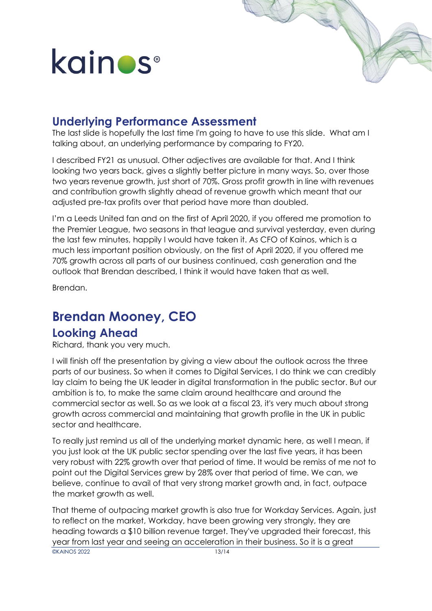#### **Underlying Performance Assessment**

The last slide is hopefully the last time I'm going to have to use this slide. What am I talking about, an underlying performance by comparing to FY20.

I described FY21 as unusual. Other adjectives are available for that. And I think looking two years back, gives a slightly better picture in many ways. So, over those two years revenue growth, just short of 70%. Gross profit growth in line with revenues and contribution growth slightly ahead of revenue growth which meant that our adjusted pre-tax profits over that period have more than doubled.

I'm a Leeds United fan and on the first of April 2020, if you offered me promotion to the Premier League, two seasons in that league and survival yesterday, even during the last few minutes, happily I would have taken it. As CFO of Kainos, which is a much less important position obviously, on the first of April 2020, if you offered me 70% growth across all parts of our business continued, cash generation and the outlook that Brendan described, I think it would have taken that as well.

Brendan.

### **Brendan Mooney, CEO**

#### **Looking Ahead**

Richard, thank you very much.

I will finish off the presentation by giving a view about the outlook across the three parts of our business. So when it comes to Digital Services, I do think we can credibly lay claim to being the UK leader in digital transformation in the public sector. But our ambition is to, to make the same claim around healthcare and around the commercial sector as well. So as we look at a fiscal 23, it's very much about strong growth across commercial and maintaining that growth profile in the UK in public sector and healthcare.

To really just remind us all of the underlying market dynamic here, as well I mean, if you just look at the UK public sector spending over the last five years, it has been very robust with 22% growth over that period of time. It would be remiss of me not to point out the Digital Services grew by 28% over that period of time. We can, we believe, continue to avail of that very strong market growth and, in fact, outpace the market growth as well.

**OKAINOS 2022** 13/14 That theme of outpacing market growth is also true for Workday Services. Again, just to reflect on the market, Workday, have been growing very strongly, they are heading towards a \$10 billion revenue target. They've upgraded their forecast, this year from last year and seeing an acceleration in their business. So it is a great